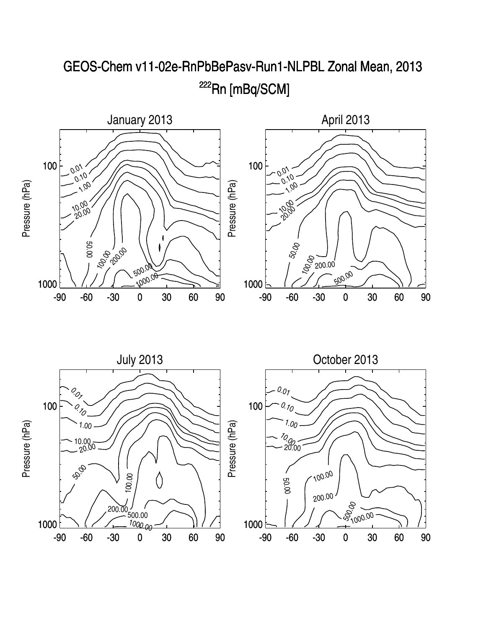

## GEOS-Chem v11-02e-RnPbBePasv-Run1-NLPBL Zonal Mean, 2013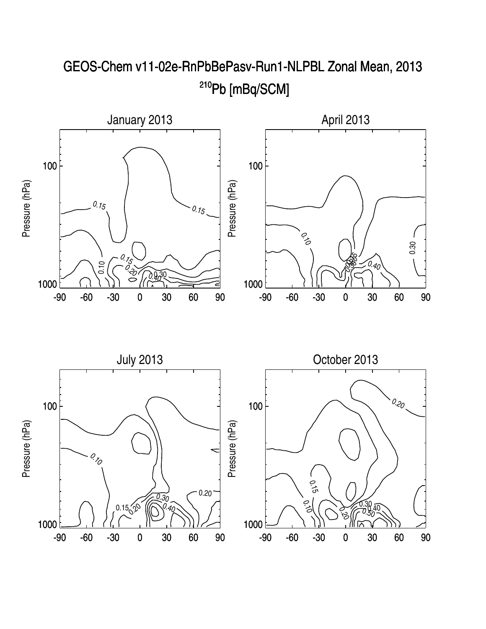

## GEOS-Chem v11-02e-RnPbBePasv-Run1-NLPBL Zonal Mean, 2013 <sup>210</sup>Pb [mBq/SCM]